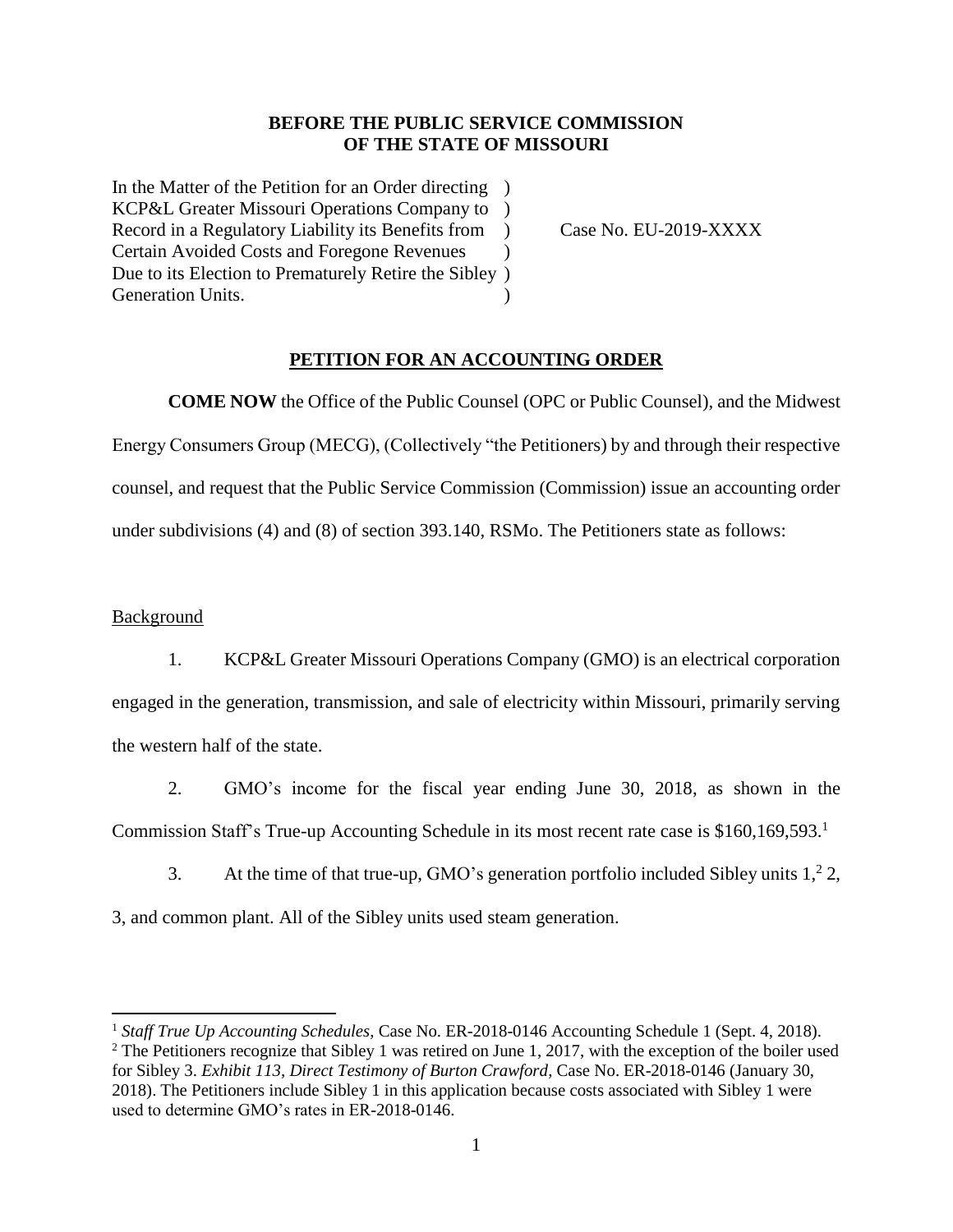### **BEFORE THE PUBLIC SERVICE COMMISSION OF THE STATE OF MISSOURI**

In the Matter of the Petition for an Order directing ) KCP&L Greater Missouri Operations Company to ) Record in a Regulatory Liability its Benefits from ) Case No. EU-2019-XXXX Certain Avoided Costs and Foregone Revenues ) Due to its Election to Prematurely Retire the Sibley ) Generation Units.

### **PETITION FOR AN ACCOUNTING ORDER**

**COME NOW** the Office of the Public Counsel (OPC or Public Counsel), and the Midwest Energy Consumers Group (MECG), (Collectively "the Petitioners) by and through their respective counsel, and request that the Public Service Commission (Commission) issue an accounting order under subdivisions (4) and (8) of section 393.140, RSMo. The Petitioners state as follows:

### **Background**

 $\overline{\phantom{a}}$ 

1. KCP&L Greater Missouri Operations Company (GMO) is an electrical corporation engaged in the generation, transmission, and sale of electricity within Missouri, primarily serving the western half of the state.

2. GMO's income for the fiscal year ending June 30, 2018, as shown in the Commission Staff's True-up Accounting Schedule in its most recent rate case is \$160,169,593.<sup>1</sup>

3. At the time of that true-up, GMO's generation portfolio included Sibley units  $1^2$ , 2,

3, and common plant. All of the Sibley units used steam generation.

<sup>&</sup>lt;sup>1</sup> Staff True Up Accounting Schedules, Case No. ER-2018-0146 Accounting Schedule 1 (Sept. 4, 2018).  $2$  The Petitioners recognize that Sibley 1 was retired on June 1, 2017, with the exception of the boiler used for Sibley 3. *Exhibit 113, Direct Testimony of Burton Crawford*, Case No. ER-2018-0146 (January 30, 2018). The Petitioners include Sibley 1 in this application because costs associated with Sibley 1 were used to determine GMO's rates in ER-2018-0146.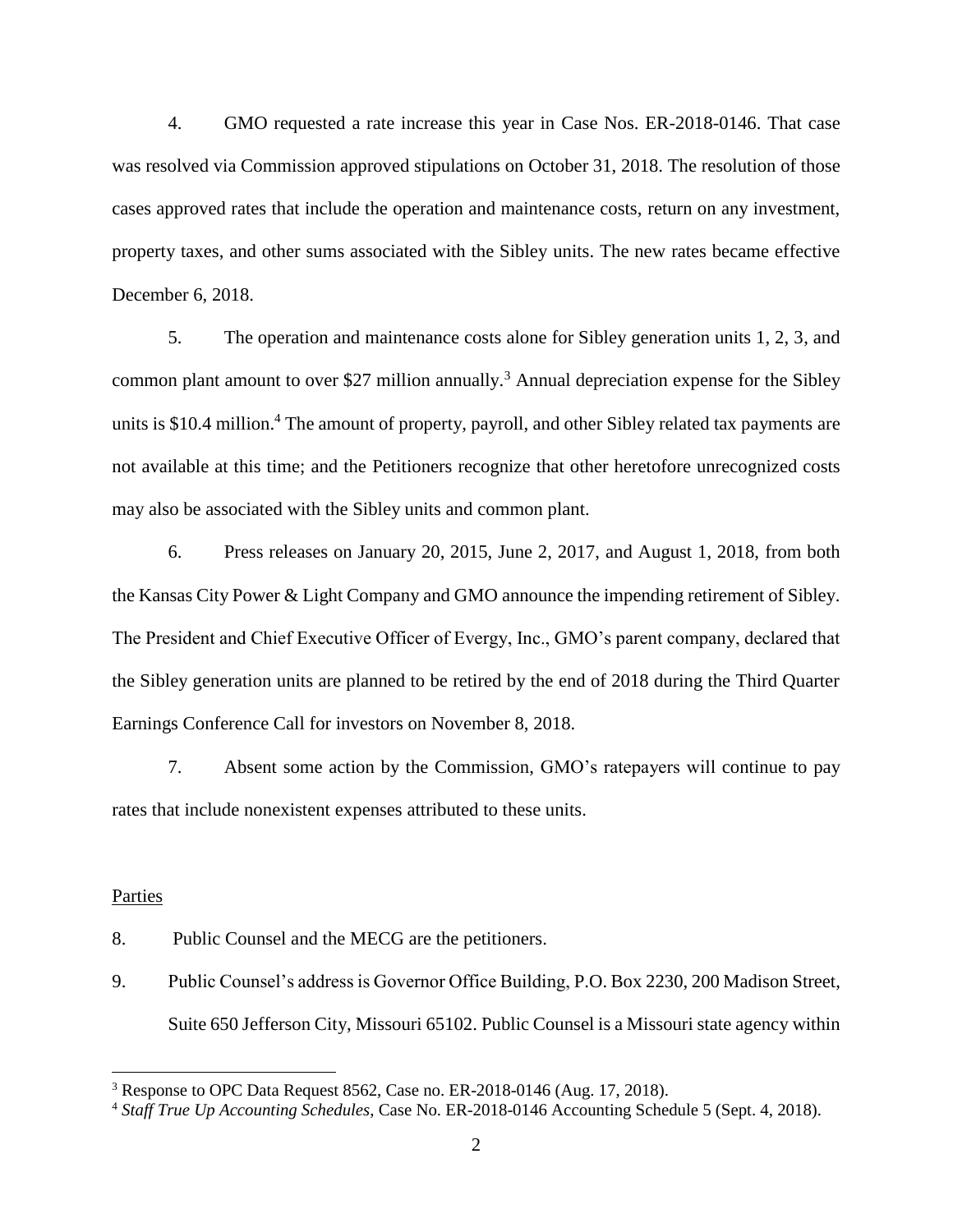4. GMO requested a rate increase this year in Case Nos. ER-2018-0146. That case was resolved via Commission approved stipulations on October 31, 2018. The resolution of those cases approved rates that include the operation and maintenance costs, return on any investment, property taxes, and other sums associated with the Sibley units. The new rates became effective December 6, 2018.

5. The operation and maintenance costs alone for Sibley generation units 1, 2, 3, and common plant amount to over \$27 million annually.<sup>3</sup> Annual depreciation expense for the Sibley units is \$10.4 million.<sup>4</sup> The amount of property, payroll, and other Sibley related tax payments are not available at this time; and the Petitioners recognize that other heretofore unrecognized costs may also be associated with the Sibley units and common plant.

6. Press releases on January 20, 2015, June 2, 2017, and August 1, 2018, from both the Kansas City Power & Light Company and GMO announce the impending retirement of Sibley. The President and Chief Executive Officer of Evergy, Inc., GMO's parent company, declared that the Sibley generation units are planned to be retired by the end of 2018 during the Third Quarter Earnings Conference Call for investors on November 8, 2018.

7. Absent some action by the Commission, GMO's ratepayers will continue to pay rates that include nonexistent expenses attributed to these units.

#### Parties

 $\overline{a}$ 

- 8. Public Counsel and the MECG are the petitioners.
- 9. Public Counsel's address is Governor Office Building, P.O. Box 2230, 200 Madison Street, Suite 650 Jefferson City, Missouri 65102. Public Counsel is a Missouri state agency within

<sup>&</sup>lt;sup>3</sup> Response to OPC Data Request 8562, Case no. ER-2018-0146 (Aug. 17, 2018).

<sup>4</sup> *Staff True Up Accounting Schedules*, Case No. ER-2018-0146 Accounting Schedule 5 (Sept. 4, 2018).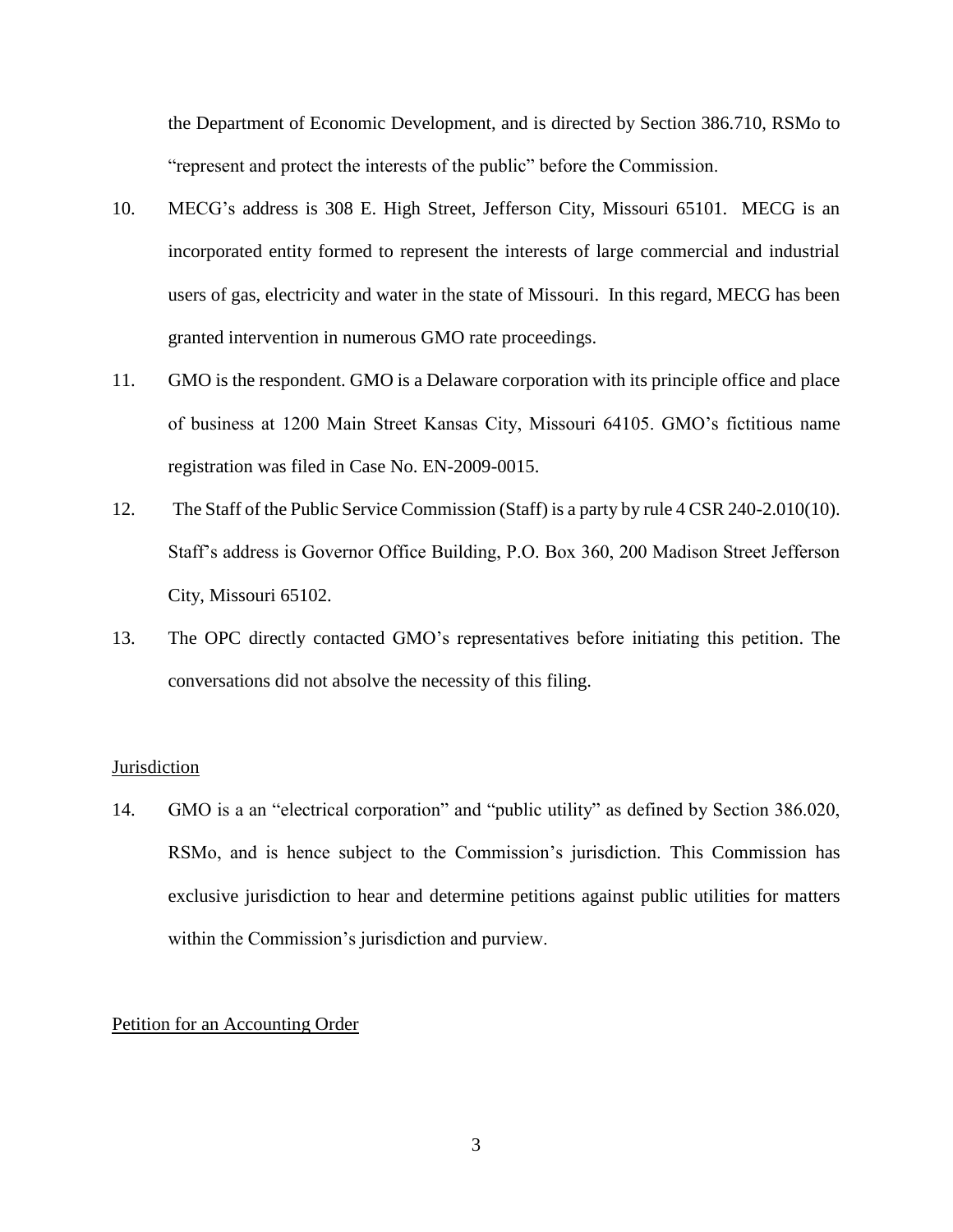the Department of Economic Development, and is directed by Section 386.710, RSMo to "represent and protect the interests of the public" before the Commission.

- 10. MECG's address is 308 E. High Street, Jefferson City, Missouri 65101. MECG is an incorporated entity formed to represent the interests of large commercial and industrial users of gas, electricity and water in the state of Missouri. In this regard, MECG has been granted intervention in numerous GMO rate proceedings.
- 11. GMO is the respondent. GMO is a Delaware corporation with its principle office and place of business at 1200 Main Street Kansas City, Missouri 64105. GMO's fictitious name registration was filed in Case No. EN-2009-0015.
- 12. The Staff of the Public Service Commission (Staff) is a party by rule 4 CSR 240-2.010(10). Staff's address is Governor Office Building, P.O. Box 360, 200 Madison Street Jefferson City, Missouri 65102.
- 13. The OPC directly contacted GMO's representatives before initiating this petition. The conversations did not absolve the necessity of this filing.

#### **Jurisdiction**

14. GMO is a an "electrical corporation" and "public utility" as defined by Section 386.020, RSMo, and is hence subject to the Commission's jurisdiction. This Commission has exclusive jurisdiction to hear and determine petitions against public utilities for matters within the Commission's jurisdiction and purview.

### Petition for an Accounting Order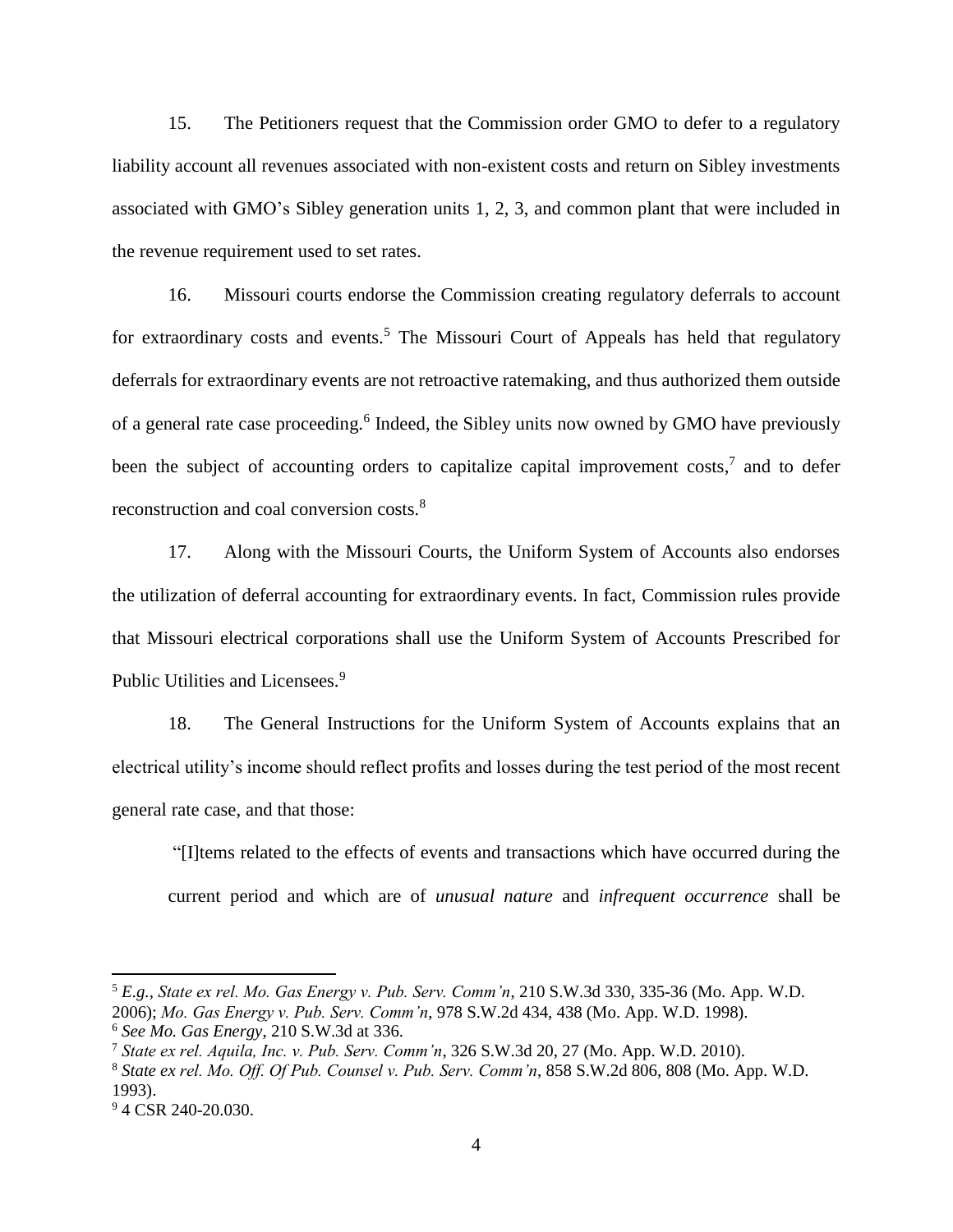15. The Petitioners request that the Commission order GMO to defer to a regulatory liability account all revenues associated with non-existent costs and return on Sibley investments associated with GMO's Sibley generation units 1, 2, 3, and common plant that were included in the revenue requirement used to set rates.

16. Missouri courts endorse the Commission creating regulatory deferrals to account for extraordinary costs and events.<sup>5</sup> The Missouri Court of Appeals has held that regulatory deferrals for extraordinary events are not retroactive ratemaking, and thus authorized them outside of a general rate case proceeding.<sup>6</sup> Indeed, the Sibley units now owned by GMO have previously been the subject of accounting orders to capitalize capital improvement costs,<sup>7</sup> and to defer reconstruction and coal conversion costs.<sup>8</sup>

17. Along with the Missouri Courts, the Uniform System of Accounts also endorses the utilization of deferral accounting for extraordinary events. In fact, Commission rules provide that Missouri electrical corporations shall use the Uniform System of Accounts Prescribed for Public Utilities and Licensees.<sup>9</sup>

18. The General Instructions for the Uniform System of Accounts explains that an electrical utility's income should reflect profits and losses during the test period of the most recent general rate case, and that those:

"[I]tems related to the effects of events and transactions which have occurred during the current period and which are of *unusual nature* and *infrequent occurrence* shall be

 $\overline{\phantom{a}}$ 

<sup>5</sup> *E.g., State ex rel. Mo. Gas Energy v. Pub. Serv. Comm'n*, 210 S.W.3d 330, 335-36 (Mo. App. W.D. 2006); *Mo. Gas Energy v. Pub. Serv. Comm'n*, 978 S.W.2d 434, 438 (Mo. App. W.D. 1998).

<sup>6</sup> *See Mo. Gas Energy*, 210 S.W.3d at 336.

<sup>7</sup> *State ex rel. Aquila, Inc. v. Pub. Serv. Comm'n*, 326 S.W.3d 20, 27 (Mo. App. W.D. 2010).

<sup>8</sup> *State ex rel. Mo. Off. Of Pub. Counsel v. Pub. Serv. Comm'n*, 858 S.W.2d 806, 808 (Mo. App. W.D. 1993).

<sup>&</sup>lt;sup>9</sup> 4 CSR 240-20.030.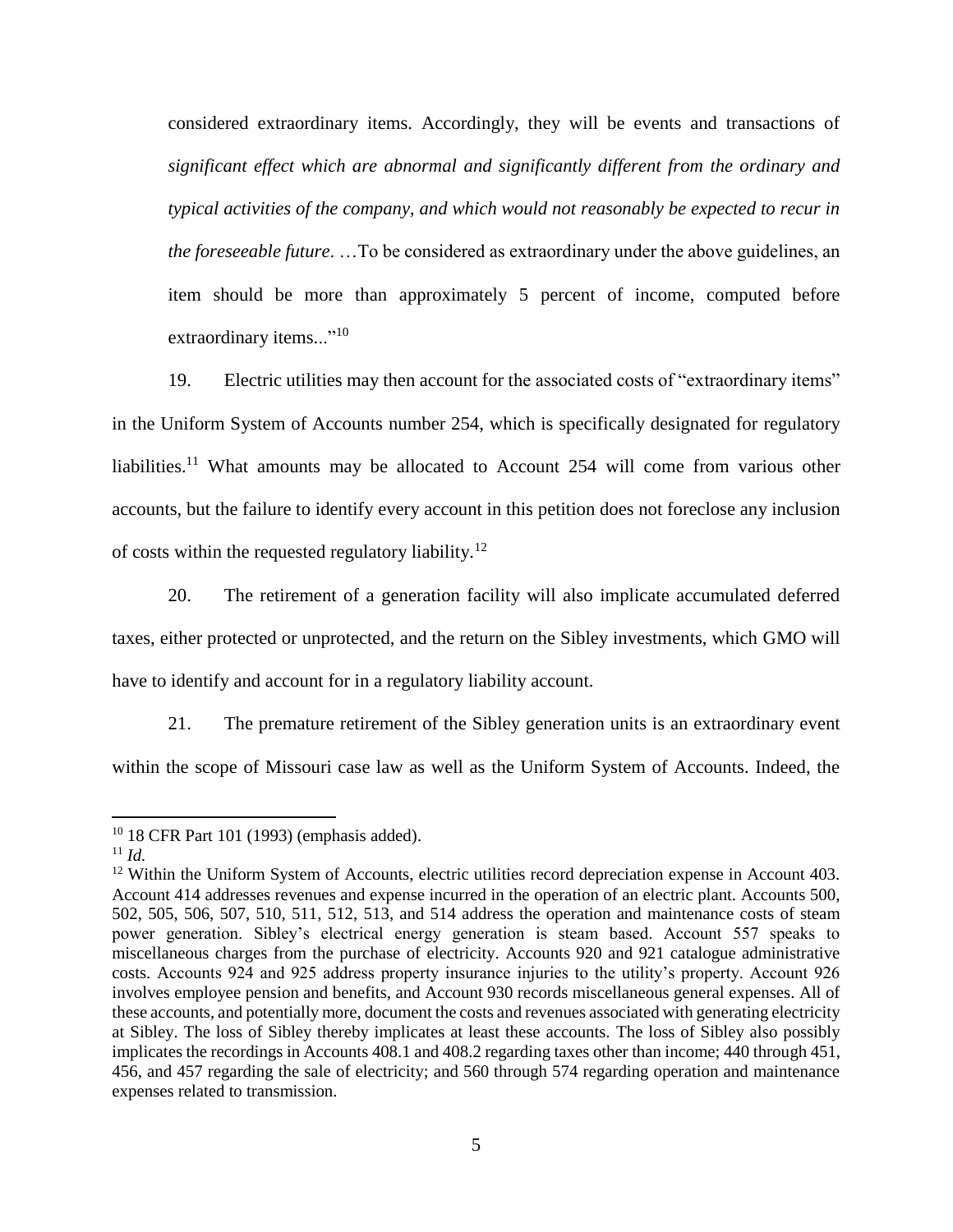considered extraordinary items. Accordingly, they will be events and transactions of *significant effect which are abnormal and significantly different from the ordinary and typical activities of the company, and which would not reasonably be expected to recur in the foreseeable future*. …To be considered as extraordinary under the above guidelines, an item should be more than approximately 5 percent of income, computed before extraordinary items..."<sup>10</sup>

19. Electric utilities may then account for the associated costs of "extraordinary items" in the Uniform System of Accounts number 254, which is specifically designated for regulatory liabilities.<sup>11</sup> What amounts may be allocated to Account 254 will come from various other accounts, but the failure to identify every account in this petition does not foreclose any inclusion of costs within the requested regulatory liability.<sup>12</sup>

20. The retirement of a generation facility will also implicate accumulated deferred taxes, either protected or unprotected, and the return on the Sibley investments, which GMO will have to identify and account for in a regulatory liability account.

21. The premature retirement of the Sibley generation units is an extraordinary event within the scope of Missouri case law as well as the Uniform System of Accounts. Indeed, the

 $\overline{\phantom{a}}$ 

<sup>10</sup> 18 CFR Part 101 (1993) (emphasis added).

 $11 \, Id.$ 

<sup>&</sup>lt;sup>12</sup> Within the Uniform System of Accounts, electric utilities record depreciation expense in Account 403. Account 414 addresses revenues and expense incurred in the operation of an electric plant. Accounts 500, 502, 505, 506, 507, 510, 511, 512, 513, and 514 address the operation and maintenance costs of steam power generation. Sibley's electrical energy generation is steam based. Account 557 speaks to miscellaneous charges from the purchase of electricity. Accounts 920 and 921 catalogue administrative costs. Accounts 924 and 925 address property insurance injuries to the utility's property. Account 926 involves employee pension and benefits, and Account 930 records miscellaneous general expenses. All of these accounts, and potentially more, document the costs and revenues associated with generating electricity at Sibley. The loss of Sibley thereby implicates at least these accounts. The loss of Sibley also possibly implicates the recordings in Accounts 408.1 and 408.2 regarding taxes other than income; 440 through 451, 456, and 457 regarding the sale of electricity; and 560 through 574 regarding operation and maintenance expenses related to transmission.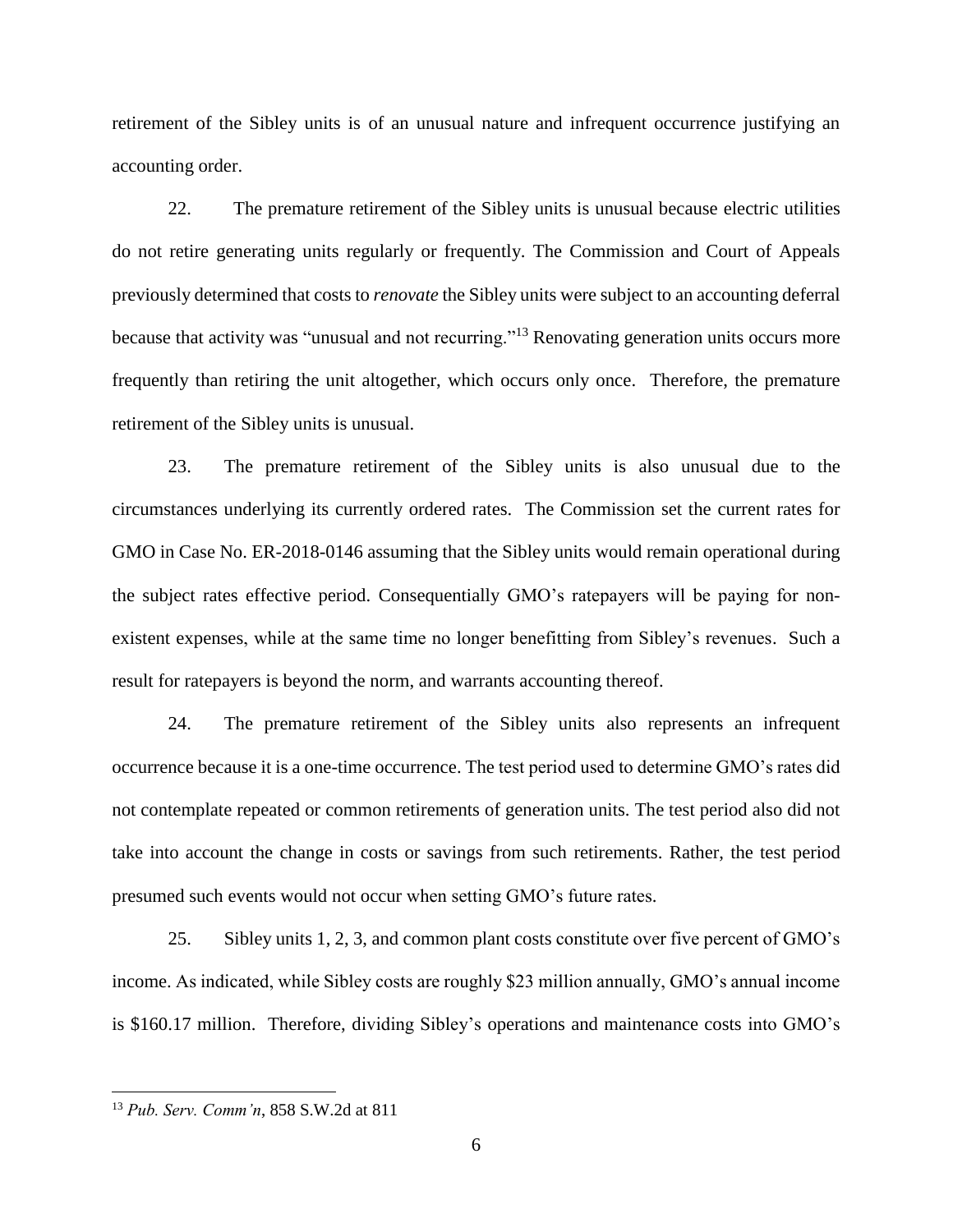retirement of the Sibley units is of an unusual nature and infrequent occurrence justifying an accounting order.

22. The premature retirement of the Sibley units is unusual because electric utilities do not retire generating units regularly or frequently. The Commission and Court of Appeals previously determined that costs to *renovate* the Sibley units were subject to an accounting deferral because that activity was "unusual and not recurring."<sup>13</sup> Renovating generation units occurs more frequently than retiring the unit altogether, which occurs only once. Therefore, the premature retirement of the Sibley units is unusual.

23. The premature retirement of the Sibley units is also unusual due to the circumstances underlying its currently ordered rates. The Commission set the current rates for GMO in Case No. ER-2018-0146 assuming that the Sibley units would remain operational during the subject rates effective period. Consequentially GMO's ratepayers will be paying for nonexistent expenses, while at the same time no longer benefitting from Sibley's revenues. Such a result for ratepayers is beyond the norm, and warrants accounting thereof.

24. The premature retirement of the Sibley units also represents an infrequent occurrence because it is a one-time occurrence. The test period used to determine GMO's rates did not contemplate repeated or common retirements of generation units. The test period also did not take into account the change in costs or savings from such retirements. Rather, the test period presumed such events would not occur when setting GMO's future rates.

25. Sibley units 1, 2, 3, and common plant costs constitute over five percent of GMO's income. As indicated, while Sibley costs are roughly \$23 million annually, GMO's annual income is \$160.17 million. Therefore, dividing Sibley's operations and maintenance costs into GMO's

 $\overline{a}$ 

<sup>13</sup> *Pub. Serv. Comm'n*, 858 S.W.2d at 811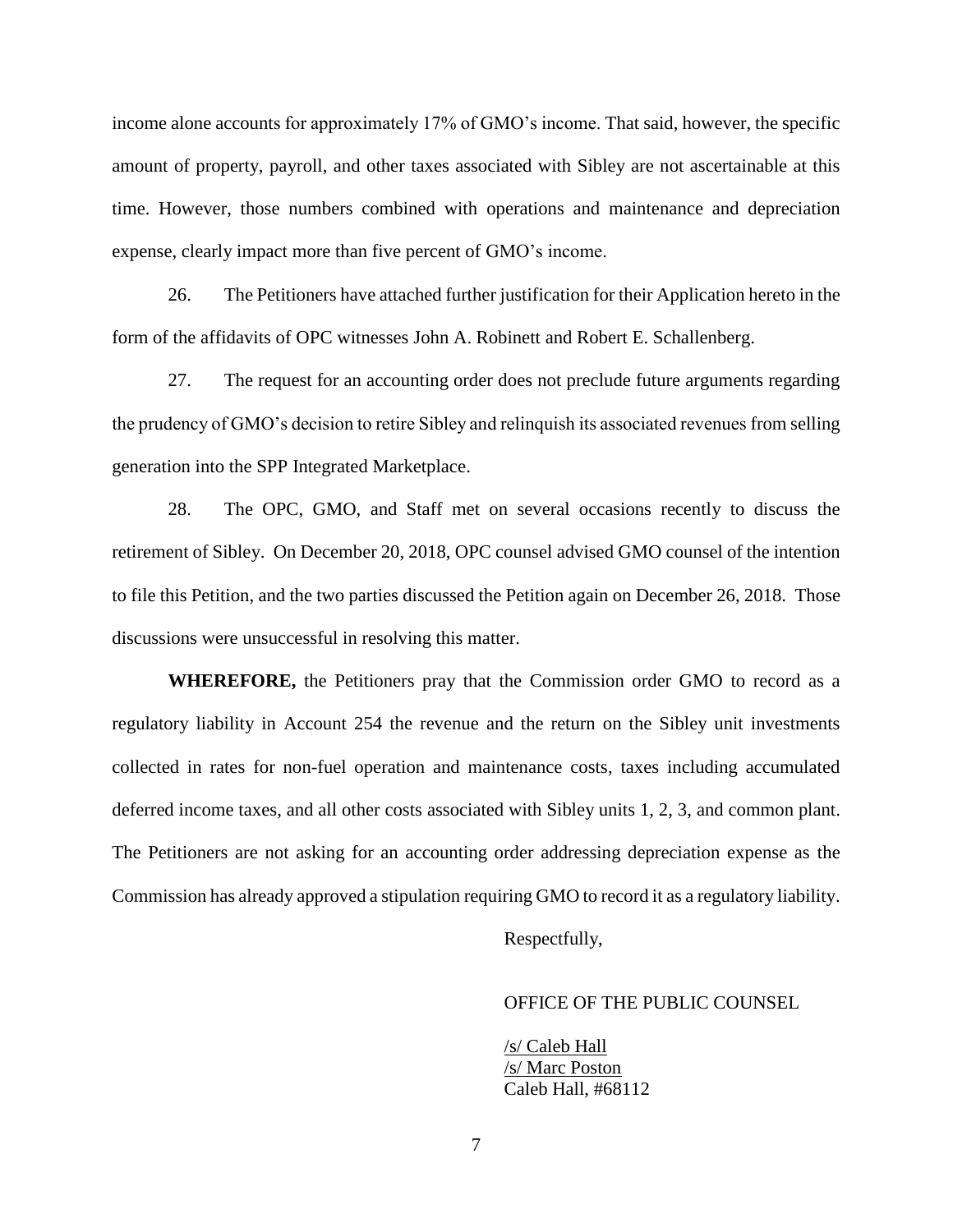income alone accounts for approximately 17% of GMO's income. That said, however, the specific amount of property, payroll, and other taxes associated with Sibley are not ascertainable at this time. However, those numbers combined with operations and maintenance and depreciation expense, clearly impact more than five percent of GMO's income.

26. The Petitioners have attached further justification for their Application hereto in the form of the affidavits of OPC witnesses John A. Robinett and Robert E. Schallenberg.

27. The request for an accounting order does not preclude future arguments regarding the prudency of GMO's decision to retire Sibley and relinquish its associated revenues from selling generation into the SPP Integrated Marketplace.

28. The OPC, GMO, and Staff met on several occasions recently to discuss the retirement of Sibley. On December 20, 2018, OPC counsel advised GMO counsel of the intention to file this Petition, and the two parties discussed the Petition again on December 26, 2018. Those discussions were unsuccessful in resolving this matter.

**WHEREFORE,** the Petitioners pray that the Commission order GMO to record as a regulatory liability in Account 254 the revenue and the return on the Sibley unit investments collected in rates for non-fuel operation and maintenance costs, taxes including accumulated deferred income taxes, and all other costs associated with Sibley units 1, 2, 3, and common plant. The Petitioners are not asking for an accounting order addressing depreciation expense as the Commission has already approved a stipulation requiring GMO to record it as a regulatory liability.

Respectfully,

### OFFICE OF THE PUBLIC COUNSEL

/s/ Caleb Hall /s/ Marc Poston Caleb Hall, #68112